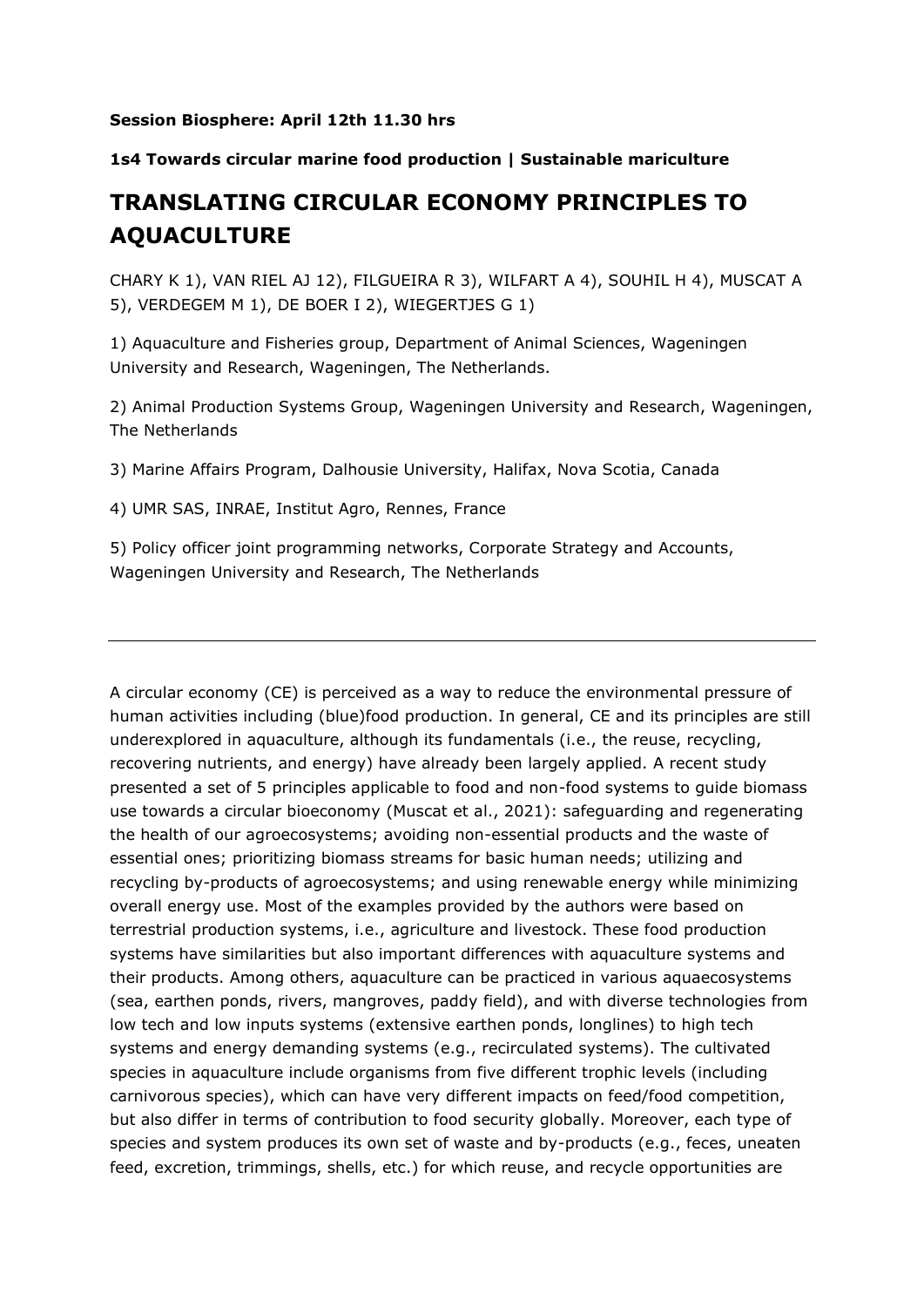## **Session Biosphere: April 12th 11.30 hrs**

## **1s4 Towards circular marine food production | Sustainable mariculture**

## **TRANSLATING CIRCULAR ECONOMY PRINCIPLES TO AQUACULTURE**

CHARY K 1), VAN RIEL AJ 12), FILGUEIRA R 3), WILFART A 4), SOUHIL H 4), MUSCAT A 5), VERDEGEM M 1), DE BOER I 2), WIEGERTJES G 1)

1) Aquaculture and Fisheries group, Department of Animal Sciences, Wageningen University and Research, Wageningen, The Netherlands.

2) Animal Production Systems Group, Wageningen University and Research, Wageningen, The Netherlands

3) Marine Affairs Program, Dalhousie University, Halifax, Nova Scotia, Canada

4) UMR SAS, INRAE, Institut Agro, Rennes, France

5) Policy officer joint programming networks, Corporate Strategy and Accounts, Wageningen University and Research, The Netherlands

A circular economy (CE) is perceived as a way to reduce the environmental pressure of human activities including (blue)food production. In general, CE and its principles are still underexplored in aquaculture, although its fundamentals (i.e., the reuse, recycling, recovering nutrients, and energy) have already been largely applied. A recent study presented a set of 5 principles applicable to food and non-food systems to guide biomass use towards a circular bioeconomy (Muscat et al., 2021): safeguarding and regenerating the health of our agroecosystems; avoiding non-essential products and the waste of essential ones; prioritizing biomass streams for basic human needs; utilizing and recycling by-products of agroecosystems; and using renewable energy while minimizing overall energy use. Most of the examples provided by the authors were based on terrestrial production systems, i.e., agriculture and livestock. These food production systems have similarities but also important differences with aquaculture systems and their products. Among others, aquaculture can be practiced in various aquaecosystems (sea, earthen ponds, rivers, mangroves, paddy field), and with diverse technologies from low tech and low inputs systems (extensive earthen ponds, longlines) to high tech systems and energy demanding systems (e.g., recirculated systems). The cultivated species in aquaculture include organisms from five different trophic levels (including carnivorous species), which can have very different impacts on feed/food competition, but also differ in terms of contribution to food security globally. Moreover, each type of species and system produces its own set of waste and by-products (e.g., feces, uneaten feed, excretion, trimmings, shells, etc.) for which reuse, and recycle opportunities are